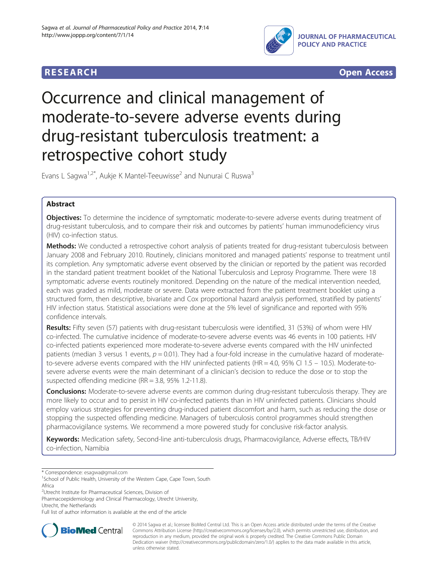



# Occurrence and clinical management of moderate-to-severe adverse events during drug-resistant tuberculosis treatment: a retrospective cohort study

Evans L Sagwa<sup>1,2\*</sup>, Aukje K Mantel-Teeuwisse<sup>2</sup> and Nunurai C Ruswa<sup>3</sup>

# Abstract

**Objectives:** To determine the incidence of symptomatic moderate-to-severe adverse events during treatment of drug-resistant tuberculosis, and to compare their risk and outcomes by patients' human immunodeficiency virus (HIV) co-infection status.

**Methods:** We conducted a retrospective cohort analysis of patients treated for drug-resistant tuberculosis between January 2008 and February 2010. Routinely, clinicians monitored and managed patients' response to treatment until its completion. Any symptomatic adverse event observed by the clinician or reported by the patient was recorded in the standard patient treatment booklet of the National Tuberculosis and Leprosy Programme. There were 18 symptomatic adverse events routinely monitored. Depending on the nature of the medical intervention needed, each was graded as mild, moderate or severe. Data were extracted from the patient treatment booklet using a structured form, then descriptive, bivariate and Cox proportional hazard analysis performed, stratified by patients' HIV infection status. Statistical associations were done at the 5% level of significance and reported with 95% confidence intervals.

Results: Fifty seven (57) patients with drug-resistant tuberculosis were identified, 31 (53%) of whom were HIV co-infected. The cumulative incidence of moderate-to-severe adverse events was 46 events in 100 patients. HIV co-infected patients experienced more moderate-to-severe adverse events compared with the HIV uninfected patients (median 3 versus 1 events,  $p = 0.01$ ). They had a four-fold increase in the cumulative hazard of moderateto-severe adverse events compared with the HIV uninfected patients (HR = 4.0, 95% CI 1.5 – 10.5). Moderate-tosevere adverse events were the main determinant of a clinician's decision to reduce the dose or to stop the suspected offending medicine (RR = 3.8, 95% 1.2-11.8).

**Conclusions:** Moderate-to-severe adverse events are common during drug-resistant tuberculosis therapy. They are more likely to occur and to persist in HIV co-infected patients than in HIV uninfected patients. Clinicians should employ various strategies for preventing drug-induced patient discomfort and harm, such as reducing the dose or stopping the suspected offending medicine. Managers of tuberculosis control programmes should strengthen pharmacovigilance systems. We recommend a more powered study for conclusive risk-factor analysis.

Keywords: Medication safety, Second-line anti-tuberculosis drugs, Pharmacovigilance, Adverse effects, TB/HIV co-infection, Namibia

\* Correspondence: [esagwa@gmail.com](mailto:esagwa@gmail.com) <sup>1</sup>

2 Utrecht Institute for Pharmaceutical Sciences, Division of

Pharmacoepidemiology and Clinical Pharmacology, Utrecht University,

Utrecht, the Netherlands

Full list of author information is available at the end of the article



© 2014 Sagwa et al.; licensee BioMed Central Ltd. This is an Open Access article distributed under the terms of the Creative Commons Attribution License [\(http://creativecommons.org/licenses/by/2.0\)](http://creativecommons.org/licenses/by/2.0), which permits unrestricted use, distribution, and reproduction in any medium, provided the original work is properly credited. The Creative Commons Public Domain Dedication waiver [\(http://creativecommons.org/publicdomain/zero/1.0/](http://creativecommons.org/publicdomain/zero/1.0/)) applies to the data made available in this article, unless otherwise stated.

 $1$ School of Public Health, University of the Western Cape, Cape Town, South Africa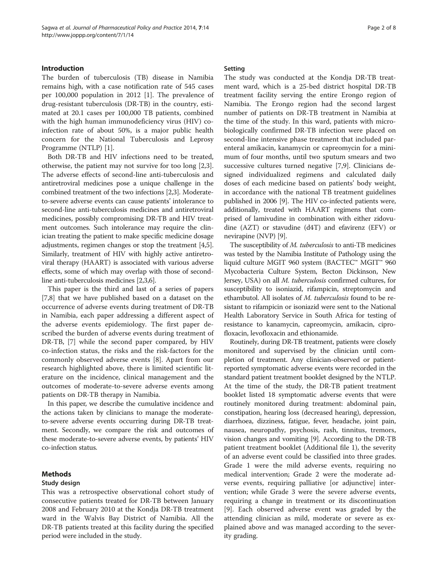# Introduction

The burden of tuberculosis (TB) disease in Namibia remains high, with a case notification rate of 545 cases per 100,000 population in 2012 [\[1](#page-7-0)]. The prevalence of drug-resistant tuberculosis (DR-TB) in the country, estimated at 20.1 cases per 100,000 TB patients, combined with the high human immunodeficiency virus (HIV) coinfection rate of about 50%, is a major public health concern for the National Tuberculosis and Leprosy Programme (NTLP) [\[1](#page-7-0)].

Both DR-TB and HIV infections need to be treated, otherwise, the patient may not survive for too long [\[2,3](#page-7-0)]. The adverse effects of second-line anti-tuberculosis and antiretroviral medicines pose a unique challenge in the combined treatment of the two infections [[2,3](#page-7-0)]. Moderateto-severe adverse events can cause patients' intolerance to second-line anti-tuberculosis medicines and antiretroviral medicines, possibly compromising DR-TB and HIV treatment outcomes. Such intolerance may require the clinician treating the patient to make specific medicine dosage adjustments, regimen changes or stop the treatment [[4](#page-7-0),[5](#page-7-0)]. Similarly, treatment of HIV with highly active antiretroviral therapy (HAART) is associated with various adverse effects, some of which may overlap with those of secondline anti-tuberculosis medicines [[2,3,6](#page-7-0)].

This paper is the third and last of a series of papers [[7,8\]](#page-7-0) that we have published based on a dataset on the occurrence of adverse events during treatment of DR-TB in Namibia, each paper addressing a different aspect of the adverse events epidemiology. The first paper described the burden of adverse events during treatment of DR-TB, [\[7\]](#page-7-0) while the second paper compared, by HIV co-infection status, the risks and the risk-factors for the commonly observed adverse events [\[8](#page-7-0)]. Apart from our research highlighted above, there is limited scientific literature on the incidence, clinical management and the outcomes of moderate-to-severe adverse events among patients on DR-TB therapy in Namibia.

In this paper, we describe the cumulative incidence and the actions taken by clinicians to manage the moderateto-severe adverse events occurring during DR-TB treatment. Secondly, we compare the risk and outcomes of these moderate-to-severe adverse events, by patients' HIV co-infection status.

# Methods

# Study design

This was a retrospective observational cohort study of consecutive patients treated for DR-TB between January 2008 and February 2010 at the Kondja DR-TB treatment ward in the Walvis Bay District of Namibia. All the DR-TB patients treated at this facility during the specified period were included in the study.

#### Setting

The study was conducted at the Kondja DR-TB treatment ward, which is a 25-bed district hospital DR-TB treatment facility serving the entire Erongo region of Namibia. The Erongo region had the second largest number of patients on DR-TB treatment in Namibia at the time of the study. In this ward, patients with microbiologically confirmed DR-TB infection were placed on second-line intensive phase treatment that included parenteral amikacin, kanamycin or capreomycin for a minimum of four months, until two sputum smears and two successive cultures turned negative [\[7,9](#page-7-0)]. Clinicians designed individualized regimens and calculated daily doses of each medicine based on patients' body weight, in accordance with the national TB treatment guidelines published in 2006 [\[9\]](#page-7-0). The HIV co-infected patients were, additionally, treated with HAART regimens that comprised of lamivudine in combination with either zidovudine (AZT) or stavudine (d4T) and efavirenz (EFV) or nevirapine (NVP) [[9](#page-7-0)].

The susceptibility of *M. tuberculosis* to anti-TB medicines was tested by the Namibia Institute of Pathology using the liquid culture MGIT 960 system (BACTEC™ MGIT™ 960 Mycobacteria Culture System, Becton Dickinson, New Jersey, USA) on all M. tuberculosis confirmed cultures, for susceptibility to isoniazid, rifampicin, streptomycin and ethambutol. All isolates of M. tuberculosis found to be resistant to rifampicin or isoniazid were sent to the National Health Laboratory Service in South Africa for testing of resistance to kanamycin, capreomycin, amikacin, ciprofloxacin, levofloxacin and ethionamide.

Routinely, during DR-TB treatment, patients were closely monitored and supervised by the clinician until completion of treatment. Any clinician-observed or patientreported symptomatic adverse events were recorded in the standard patient treatment booklet designed by the NTLP. At the time of the study, the DR-TB patient treatment booklet listed 18 symptomatic adverse events that were routinely monitored during treatment: abdominal pain, constipation, hearing loss (decreased hearing), depression, diarrhoea, dizziness, fatigue, fever, headache, joint pain, nausea, neuropathy, psychosis, rash, tinnitus, tremors, vision changes and vomiting [[9\]](#page-7-0). According to the DR-TB patient treatment booklet (Additional file [1\)](#page-7-0), the severity of an adverse event could be classified into three grades. Grade 1 were the mild adverse events, requiring no medical intervention; Grade 2 were the moderate adverse events, requiring palliative [or adjunctive] intervention; while Grade 3 were the severe adverse events, requiring a change in treatment or its discontinuation [[9\]](#page-7-0). Each observed adverse event was graded by the attending clinician as mild, moderate or severe as explained above and was managed according to the severity grading.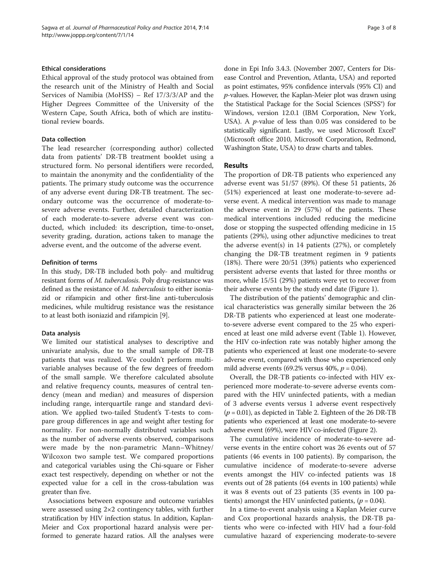#### Ethical considerations

Ethical approval of the study protocol was obtained from the research unit of the Ministry of Health and Social Services of Namibia (MoHSS) – Ref 17/3/3/AP and the Higher Degrees Committee of the University of the Western Cape, South Africa, both of which are institutional review boards.

# Data collection

The lead researcher (corresponding author) collected data from patients' DR-TB treatment booklet using a structured form. No personal identifiers were recorded, to maintain the anonymity and the confidentiality of the patients. The primary study outcome was the occurrence of any adverse event during DR-TB treatment. The secondary outcome was the occurrence of moderate-tosevere adverse events. Further, detailed characterization of each moderate-to-severe adverse event was conducted, which included: its description, time-to-onset, severity grading, duration, actions taken to manage the adverse event, and the outcome of the adverse event.

#### Definition of terms

In this study, DR-TB included both poly- and multidrug resistant forms of M. tuberculosis. Poly drug-resistance was defined as the resistance of M. tuberculosis to either isoniazid or rifampicin and other first-line anti-tuberculosis medicines, while multidrug resistance was the resistance to at least both isoniazid and rifampicin [\[9](#page-7-0)].

#### Data analysis

We limited our statistical analyses to descriptive and univariate analysis, due to the small sample of DR-TB patients that was realized. We couldn't perform multivariable analyses because of the few degrees of freedom of the small sample. We therefore calculated absolute and relative frequency counts, measures of central tendency (mean and median) and measures of dispersion including range, interquartile range and standard deviation. We applied two-tailed Student's T-tests to compare group differences in age and weight after testing for normality. For non-normally distributed variables such as the number of adverse events observed, comparisons were made by the non-parametric Mann–Whitney/ Wilcoxon two sample test. We compared proportions and categorical variables using the Chi-square or Fisher exact test respectively, depending on whether or not the expected value for a cell in the cross-tabulation was greater than five.

Associations between exposure and outcome variables were assessed using 2×2 contingency tables, with further stratification by HIV infection status. In addition, Kaplan-Meier and Cox proportional hazard analysis were performed to generate hazard ratios. All the analyses were done in Epi Info 3.4.3. (November 2007, Centers for Disease Control and Prevention, Atlanta, USA) and reported as point estimates, 95% confidence intervals (95% CI) and p-values. However, the Kaplan-Meier plot was drawn using the Statistical Package for the Social Sciences (SPSS®) for Windows, version 12.0.1 (IBM Corporation, New York, USA). A  $p$ -value of less than 0.05 was considered to be statistically significant. Lastly, we used Microsoft Excel® (Microsoft office 2010, Microsoft Corporation, Redmond, Washington State, USA) to draw charts and tables.

#### Results

The proportion of DR-TB patients who experienced any adverse event was 51/57 (89%). Of these 51 patients, 26 (51%) experienced at least one moderate-to-severe adverse event. A medical intervention was made to manage the adverse event in 29 (57%) of the patients. These medical interventions included reducing the medicine dose or stopping the suspected offending medicine in 15 patients (29%), using other adjunctive medicines to treat the adverse event(s) in 14 patients (27%), or completely changing the DR-TB treatment regimen in 9 patients (18%). There were 20/51 (39%) patients who experienced persistent adverse events that lasted for three months or more, while 15/51 (29%) patients were yet to recover from their adverse events by the study end date (Figure [1](#page-3-0)).

The distribution of the patients' demographic and clinical characteristics was generally similar between the 26 DR-TB patients who experienced at least one moderateto-severe adverse event compared to the 25 who experienced at least one mild adverse event (Table [1\)](#page-3-0). However, the HIV co-infection rate was notably higher among the patients who experienced at least one moderate-to-severe adverse event, compared with those who experienced only mild adverse events (69.2% versus 40%,  $p = 0.04$ ).

Overall, the DR-TB patients co-infected with HIV experienced more moderate-to-severe adverse events compared with the HIV uninfected patients, with a median of 3 adverse events versus 1 adverse event respectively  $(p = 0.01)$ , as depicted in Table [2](#page-4-0). Eighteen of the 26 DR-TB patients who experienced at least one moderate-to-severe adverse event (69%), were HIV co-infected (Figure [2](#page-4-0)).

The cumulative incidence of moderate-to-severe adverse events in the entire cohort was 26 events out of 57 patients (46 events in 100 patients). By comparison, the cumulative incidence of moderate-to-severe adverse events amongst the HIV co-infected patients was 18 events out of 28 patients (64 events in 100 patients) while it was 8 events out of 23 patients (35 events in 100 patients) amongst the HIV uninfected patients,  $(p = 0.04)$ .

In a time-to-event analysis using a Kaplan Meier curve and Cox proportional hazards analysis, the DR-TB patients who were co-infected with HIV had a four-fold cumulative hazard of experiencing moderate-to-severe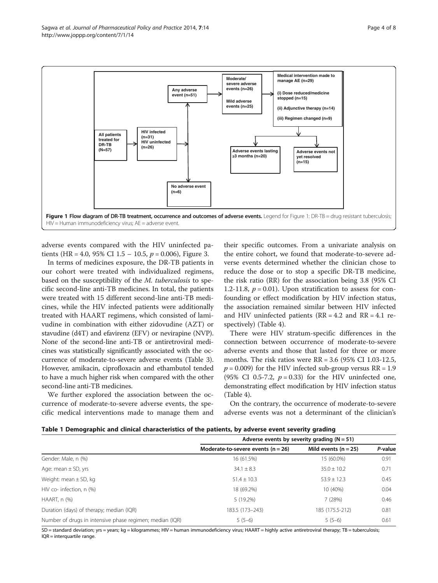<span id="page-3-0"></span>

adverse events compared with the HIV uninfected patients (HR = 4.0, 95% CI 1.5 – 10.5,  $p = 0.006$ ), Figure [3](#page-5-0).

In terms of medicines exposure, the DR-TB patients in our cohort were treated with individualized regimens, based on the susceptibility of the M. tuberculosis to specific second-line anti-TB medicines. In total, the patients were treated with 15 different second-line anti-TB medicines, while the HIV infected patients were additionally treated with HAART regimens, which consisted of lamivudine in combination with either zidovudine (AZT) or stavudine (d4T) and efavirenz (EFV) or nevirapine (NVP). None of the second-line anti-TB or antiretroviral medicines was statistically significantly associated with the occurrence of moderate-to-severe adverse events (Table [3](#page-5-0)). However, amikacin, ciprofloxacin and ethambutol tended to have a much higher risk when compared with the other second-line anti-TB medicines.

We further explored the association between the occurrence of moderate-to-severe adverse events, the specific medical interventions made to manage them and

their specific outcomes. From a univariate analysis on the entire cohort, we found that moderate-to-severe adverse events determined whether the clinician chose to reduce the dose or to stop a specific DR-TB medicine, the risk ratio (RR) for the association being 3.8 (95% CI 1.2-11.8,  $p = 0.01$ ). Upon stratification to assess for confounding or effect modification by HIV infection status, the association remained similar between HIV infected and HIV uninfected patients  $(RR = 4.2$  and  $RR = 4.1$  respectively) (Table [4\)](#page-6-0).

There were HIV stratum-specific differences in the connection between occurrence of moderate-to-severe adverse events and those that lasted for three or more months. The risk ratios were  $RR = 3.6$  (95% CI 1.03-12.5,  $p = 0.009$ ) for the HIV infected sub-group versus RR = 1.9 (95% CI 0.5-7.2,  $p = 0.33$ ) for the HIV uninfected one, demonstrating effect modification by HIV infection status (Table [4](#page-6-0)).

On the contrary, the occurrence of moderate-to-severe adverse events was not a determinant of the clinician's

|  | Table 1 Demographic and clinical characteristics of the patients, by adverse event severity grading |  |  |
|--|-----------------------------------------------------------------------------------------------------|--|--|
|  |                                                                                                     |  |  |

|                                                          | Adverse events by severity grading ( $N = 51$ ) |                        |         |
|----------------------------------------------------------|-------------------------------------------------|------------------------|---------|
|                                                          | Moderate-to-severe events $(n = 26)$            | Mild events $(n = 25)$ | P-value |
| Gender: Male, n (%)                                      | 16 (61.5%)                                      | 15 (60.0%)             | 0.91    |
| Age: mean $\pm$ SD, yrs                                  | $34.1 \pm 8.3$                                  | $35.0 \pm 10.2$        | 0.71    |
| Weight: mean $\pm$ SD, kg                                | $51.4 \pm 10.3$                                 | $53.9 \pm 12.3$        | 0.45    |
| HIV co- infection, n (%)                                 | 18 (69.2%)                                      | 10 (40%)               | 0.04    |
| $HAART$ , n $(%)$                                        | $5(19.2\%)$                                     | 7(28%)                 | 0.46    |
| Duration (days) of therapy; median (IQR)                 | 183.5 (173-243)                                 | 185 (175.5-212)        | 0.81    |
| Number of drugs in intensive phase regimen; median (IQR) | $5(5-6)$                                        | $5(5-6)$               | 0.61    |

SD = standard deviation; yrs = years; kg = kilogrammes; HIV = human immunodeficiency virus; HAART = highly active antiretroviral therapy; TB = tuberculosis; IQR = interquartile range.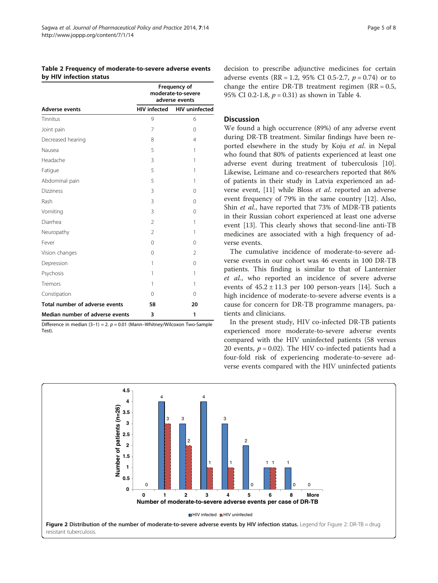<span id="page-4-0"></span>

| Table 2 Frequency of moderate-to-severe adverse events |  |
|--------------------------------------------------------|--|
| by HIV infection status                                |  |

|                                 | Frequency of<br>moderate-to-severe<br>adverse events |                       |  |
|---------------------------------|------------------------------------------------------|-----------------------|--|
| <b>Adverse events</b>           | <b>HIV</b> infected                                  | <b>HIV</b> uninfected |  |
| Tinnitus                        | 9                                                    | 6                     |  |
| Joint pain                      | 7                                                    | $\Omega$              |  |
| Decreased hearing               | 8                                                    | $\overline{4}$        |  |
| Nausea                          | 5                                                    | 1                     |  |
| Headache                        | 3                                                    | 1                     |  |
| Fatigue                         | 5                                                    | 1                     |  |
| Abdominal pain                  | 5                                                    | 1                     |  |
| <b>Dizziness</b>                | 3                                                    | $\Omega$              |  |
| Rash                            | 3                                                    | $\Omega$              |  |
| Vomiting                        | 3                                                    | $\Omega$              |  |
| Diarrhea                        | $\overline{2}$                                       | 1                     |  |
| Neuropathy                      | $\overline{2}$                                       | 1                     |  |
| Fever                           | 0                                                    | 0                     |  |
| Vision changes                  | $\Omega$                                             | $\overline{2}$        |  |
| Depression                      | 1                                                    | $\Omega$              |  |
| Psychosis                       | 1                                                    | 1                     |  |
| Tremors                         | 1                                                    | 1                     |  |
| Constipation                    | $\mathbf{0}$                                         | $\Omega$              |  |
| Total number of adverse events  | 58                                                   | 20                    |  |
| Median number of adverse events | 3                                                    | 1                     |  |

Difference in median  $(3-1) = 2$ .  $p = 0.01$  (Mann–Whitney/Wilcoxon Two-Sample Test).

decision to prescribe adjunctive medicines for certain adverse events (RR = 1.2, 95% CI 0.5-2.7,  $p = 0.74$ ) or to change the entire DR-TB treatment regimen  $(RR = 0.5,$ 95% CI 0.2-1.8,  $p = 0.31$ ) as shown in Table [4.](#page-6-0)

# Discussion

We found a high occurrence (89%) of any adverse event during DR-TB treatment. Similar findings have been reported elsewhere in the study by Koju et al. in Nepal who found that 80% of patients experienced at least one adverse event during treatment of tuberculosis [\[10](#page-7-0)]. Likewise, Leimane and co-researchers reported that 86% of patients in their study in Latvia experienced an adverse event, [\[11\]](#page-7-0) while Bloss et al. reported an adverse event frequency of 79% in the same country [[12\]](#page-7-0). Also, Shin et al., have reported that 73% of MDR-TB patients in their Russian cohort experienced at least one adverse event [\[13](#page-7-0)]. This clearly shows that second-line anti-TB medicines are associated with a high frequency of adverse events.

The cumulative incidence of moderate-to-severe adverse events in our cohort was 46 events in 100 DR-TB patients. This finding is similar to that of Lanternier et al., who reported an incidence of severe adverse events of  $45.2 \pm 11.3$  per 100 person-years [[14](#page-7-0)]. Such a high incidence of moderate-to-severe adverse events is a cause for concern for DR-TB programme managers, patients and clinicians.

In the present study, HIV co-infected DR-TB patients experienced more moderate-to-severe adverse events compared with the HIV uninfected patients (58 versus 20 events,  $p = 0.02$ ). The HIV co-infected patients had a four-fold risk of experiencing moderate-to-severe adverse events compared with the HIV uninfected patients

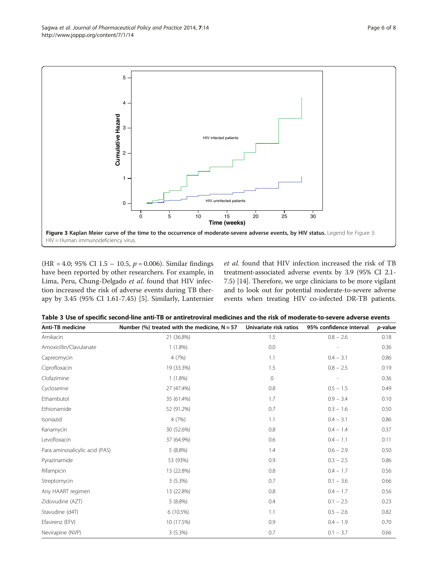<span id="page-5-0"></span>Sagwa et al. Journal of Pharmaceutical Policy and Practice 2014, 7:14 Page 6 of 8 http://www.joppp.org/content/7/1/14



(HR = 4.0; 95% CI 1.5 – 10.5,  $p = 0.006$ ). Similar findings have been reported by other researchers. For example, in Lima, Peru, Chung-Delgado et al. found that HIV infection increased the risk of adverse events during TB therapy by 3.45 (95% CI 1.61-7.45) [\[5](#page-7-0)]. Similarly, Lanternier

et al. found that HIV infection increased the risk of TB treatment-associated adverse events by 3.9 (95% CI 2.1- 7.5) [\[14](#page-7-0)]. Therefore, we urge clinicians to be more vigilant and to look out for potential moderate-to-severe adverse events when treating HIV co-infected DR-TB patients.

| <b>Anti-TB medicine</b>        | Number (%) treated with the medicine, $N = 57$ | Univariate risk ratios | 95% confidence interval | p-value |
|--------------------------------|------------------------------------------------|------------------------|-------------------------|---------|
| Amikacin                       | 21 (36.8%)                                     | 1.5                    | $0.8 - 2.6$             | 0.18    |
| Amoxicillin/Clavulanate        | $1(1.8\%)$                                     | 0.0                    |                         | 0.36    |
| Capreomycin                    | 4 (7%)                                         | 1.1                    | $0.4 - 3.1$             | 0.86    |
| Ciprofloxacin                  | 19 (33.3%)                                     | 1.5                    | $0.8 - 2.5$             | 0.19    |
| Clofazimine                    | $1(1.8\%)$                                     | $\mathbf 0$            |                         | 0.36    |
| Cycloserine                    | 27 (47.4%)                                     | 0.8                    | $0.5 - 1.5$             | 0.49    |
| Ethambutol                     | 35 (61.4%)                                     | 1.7                    | $0.9 - 3.4$             | 0.10    |
| Ethionamide                    | 52 (91.2%)                                     | 0.7                    | $0.3 - 1.6$             | 0.50    |
| Isoniazid                      | 4(7%)                                          | 1.1                    | $0.4 - 3.1$             | 0.86    |
| Kanamycin                      | 30 (52.6%)                                     | 0.8                    | $0.4 - 1.4$             | 0.37    |
| Levofloxacin                   | 37 (64.9%)                                     | 0.6                    | $0.4 - 1.1$             | 0.11    |
| Para aminosalicylic acid (PAS) | 5(8.8%)                                        | 1.4                    | $0.6 - 2.9$             | 0.50    |
| Pyrazinamide                   | 53 (93%)                                       | 0.9                    | $0.3 - 2.5$             | 0.86    |
| Rifampicin                     | 13 (22.8%)                                     | 0.8                    | $0.4 - 1.7$             | 0.56    |
| Streptomycin                   | 3(5.3%)                                        | 0.7                    | $0.1 - 3.6$             | 0.66    |
| Any HAART regimen              | 13 (22.8%)                                     | 0.8                    | $0.4 - 1.7$             | 0.56    |
| Zidovudine (AZT)               | 5(8.8%)                                        | 0.4                    | $0.1 - 2.5$             | 0.23    |
| Stavudine (d4T)                | 6 (10.5%)                                      | 1.1                    | $0.5 - 2.6$             | 0.82    |
| Efavirenz (EFV)                | 10 (17.5%)                                     | 0.9                    | $0.4 - 1.9$             | 0.70    |
| Nevirapine (NVP)               | 3(5.3%)                                        | 0.7                    | $0.1 - 3.7$             | 0.66    |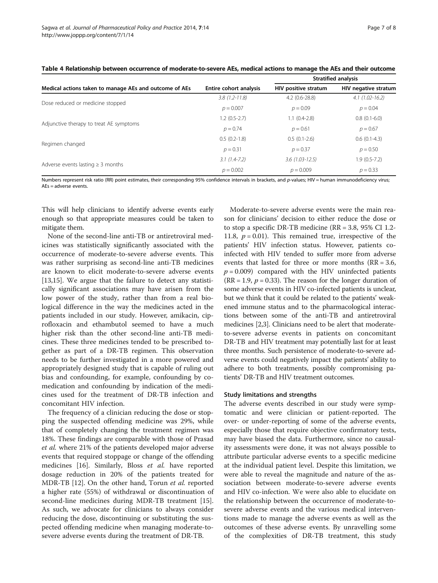|                                                                                                                                          |                                                                                               | <b>Stratified analysis</b>                                                                                    |                             |
|------------------------------------------------------------------------------------------------------------------------------------------|-----------------------------------------------------------------------------------------------|---------------------------------------------------------------------------------------------------------------|-----------------------------|
| Medical actions taken to manage AEs and outcome of AEs                                                                                   | Entire cohort analysis                                                                        | HIV positive stratum                                                                                          | <b>HIV negative stratum</b> |
| Dose reduced or medicine stopped<br>Adjunctive therapy to treat AE symptoms<br>Regimen changed<br>Adverse events lasting $\geq$ 3 months | $3.8(1.2 - 11.8)$                                                                             | $4.2(0.6-28.8)$                                                                                               | $4.1(1.02-16.2)$            |
|                                                                                                                                          | $p = 0.007$                                                                                   | $p = 0.09$<br>$1.1(0.4-2.8)$<br>$p = 0.61$<br>$0.5(0.1-2.6)$<br>$p = 0.37$<br>$3.6(1.03-12.5)$<br>$p = 0.009$ | $p = 0.04$                  |
|                                                                                                                                          | $1.2(0.5-2.7)$<br>$p = 0.74$<br>$0.5(0.2-1.8)$<br>$p = 0.31$<br>$3.1(1.4-7.2)$<br>$p = 0.002$ |                                                                                                               | $0.8(0.1-6.0)$              |
|                                                                                                                                          |                                                                                               | $p = 0.67$                                                                                                    |                             |
|                                                                                                                                          |                                                                                               |                                                                                                               | $0.6(0.1-4.3)$              |
|                                                                                                                                          |                                                                                               |                                                                                                               | $p = 0.50$                  |
|                                                                                                                                          |                                                                                               |                                                                                                               | $1.9(0.5-7.2)$              |
|                                                                                                                                          |                                                                                               |                                                                                                               | $p = 0.33$                  |

<span id="page-6-0"></span>

| Table 4 Relationship between occurrence of moderate-to-severe AEs, medical actions to manage the AEs and their outcome |  |  |
|------------------------------------------------------------------------------------------------------------------------|--|--|
|------------------------------------------------------------------------------------------------------------------------|--|--|

Numbers represent risk ratio (RR) point estimates, their corresponding 95% confidence intervals in brackets, and p-values; HIV = human immunodeficiency virus; AEs = adverse events.

This will help clinicians to identify adverse events early enough so that appropriate measures could be taken to mitigate them.

None of the second-line anti-TB or antiretroviral medicines was statistically significantly associated with the occurrence of moderate-to-severe adverse events. This was rather surprising as second-line anti-TB medicines are known to elicit moderate-to-severe adverse events [[13,15\]](#page-7-0). We argue that the failure to detect any statistically significant associations may have arisen from the low power of the study, rather than from a real biological difference in the way the medicines acted in the patients included in our study. However, amikacin, ciprofloxacin and ethambutol seemed to have a much higher risk than the other second-line anti-TB medicines. These three medicines tended to be prescribed together as part of a DR-TB regimen. This observation needs to be further investigated in a more powered and appropriately designed study that is capable of ruling out bias and confounding, for example, confounding by comedication and confounding by indication of the medicines used for the treatment of DR-TB infection and concomitant HIV infection.

The frequency of a clinician reducing the dose or stopping the suspected offending medicine was 29%, while that of completely changing the treatment regimen was 18%. These findings are comparable with those of Prasad et al. where 21% of the patients developed major adverse events that required stoppage or change of the offending medicines [\[16\]](#page-7-0). Similarly, Bloss et al. have reported dosage reduction in 20% of the patients treated for MDR-TB [[12\]](#page-7-0). On the other hand, Torun *et al.* reported a higher rate (55%) of withdrawal or discontinuation of second-line medicines during MDR-TB treatment [\[15](#page-7-0)]. As such, we advocate for clinicians to always consider reducing the dose, discontinuing or substituting the suspected offending medicine when managing moderate-tosevere adverse events during the treatment of DR-TB.

Moderate-to-severe adverse events were the main reason for clinicians' decision to either reduce the dose or to stop a specific DR-TB medicine (RR = 3.8, 95% CI 1.2- 11.8,  $p = 0.01$ ). This remained true, irrespective of the patients' HIV infection status. However, patients coinfected with HIV tended to suffer more from adverse events that lasted for three or more months  $(RR = 3.6,$  $p = 0.009$ ) compared with the HIV uninfected patients ( $RR = 1.9$ ,  $p = 0.33$ ). The reason for the longer duration of some adverse events in HIV co-infected patients is unclear, but we think that it could be related to the patients' weakened immune status and to the pharmacological interactions between some of the anti-TB and antiretroviral medicines [[2,3](#page-7-0)]. Clinicians need to be alert that moderateto-severe adverse events in patients on concomitant DR-TB and HIV treatment may potentially last for at least three months. Such persistence of moderate-to-severe adverse events could negatively impact the patients' ability to adhere to both treatments, possibly compromising patients' DR-TB and HIV treatment outcomes.

# Study limitations and strengths

The adverse events described in our study were symptomatic and were clinician or patient-reported. The over- or under-reporting of some of the adverse events, especially those that require objective confirmatory tests, may have biased the data. Furthermore, since no causality assessments were done, it was not always possible to attribute particular adverse events to a specific medicine at the individual patient level. Despite this limitation, we were able to reveal the magnitude and nature of the association between moderate-to-severe adverse events and HIV co-infection. We were also able to elucidate on the relationship between the occurrence of moderate-tosevere adverse events and the various medical interventions made to manage the adverse events as well as the outcomes of these adverse events. By unravelling some of the complexities of DR-TB treatment, this study